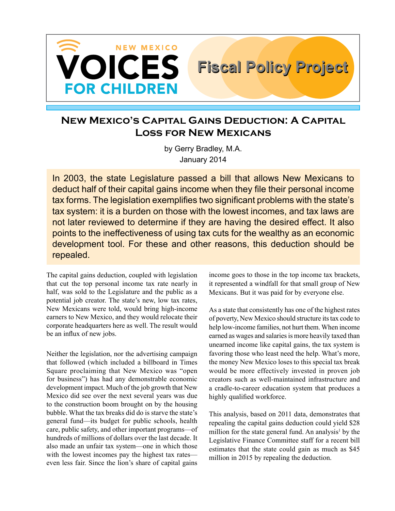

# **New Mexico's Capital Gains Deduction: A Capital Loss for New Mexicans**

by Gerry Bradley, M.A. January 2014

In 2003, the state Legislature passed a bill that allows New Mexicans to deduct half of their capital gains income when they file their personal income tax forms. The legislation exemplifies two significant problems with the state's tax system: it is a burden on those with the lowest incomes, and tax laws are not later reviewed to determine if they are having the desired effect. It also points to the ineffectiveness of using tax cuts for the wealthy as an economic development tool. For these and other reasons, this deduction should be repealed.

The capital gains deduction, coupled with legislation that cut the top personal income tax rate nearly in half, was sold to the Legislature and the public as a potential job creator. The state's new, low tax rates, New Mexicans were told, would bring high-income earners to New Mexico, and they would relocate their corporate headquarters here as well. The result would be an influx of new jobs.

Neither the legislation, nor the advertising campaign that followed (which included a billboard in Times Square proclaiming that New Mexico was "open for business") has had any demonstrable economic development impact. Much of the job growth that New Mexico did see over the next several years was due to the construction boom brought on by the housing bubble. What the tax breaks did do is starve the state's general fund—its budget for public schools, health care, public safety, and other important programs—of hundreds of millions of dollars over the last decade. It also made an unfair tax system—one in which those with the lowest incomes pay the highest tax rates even less fair. Since the lion's share of capital gains income goes to those in the top income tax brackets, it represented a windfall for that small group of New Mexicans. But it was paid for by everyone else.

**Fiscal Policy Project Fiscal Policy Project**

As a state that consistently has one of the highest rates of poverty, New Mexico should structure its tax code to help low-income families, not hurt them. When income earned as wages and salaries is more heavily taxed than unearned income like capital gains, the tax system is favoring those who least need the help. What's more, the money New Mexico loses to this special tax break would be more effectively invested in proven job creators such as well-maintained infrastructure and a cradle-to-career education system that produces a highly qualified workforce.

This analysis, based on 2011 data, demonstrates that repealing the capital gains deduction could yield \$28 million for the state general fund. An analysis<sup>1</sup> by the Legislative Finance Committee staff for a recent bill estimates that the state could gain as much as \$45 million in 2015 by repealing the deduction.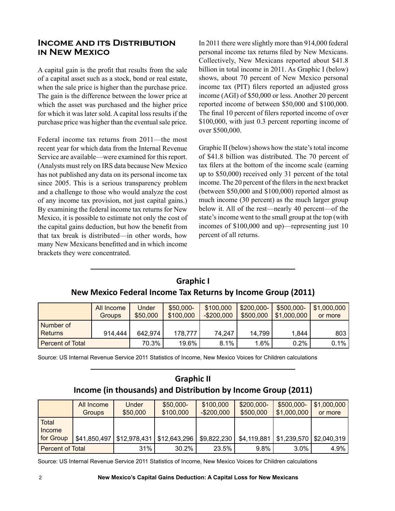### **Income and its Distribution in New Mexico**

A capital gain is the profit that results from the sale of a capital asset such as a stock, bond or real estate, when the sale price is higher than the purchase price. The gain is the difference between the lower price at which the asset was purchased and the higher price for which it was later sold. A capital loss results if the purchase price was higher than the eventual sale price.

Federal income tax returns from 2011—the most recent year for which data from the Internal Revenue Service are available—were examined for this report. (Analysts must rely on IRS data because New Mexico has not published any data on its personal income tax since 2005. This is a serious transparency problem and a challenge to those who would analyze the cost of any income tax provision, not just capital gains.) By examining the federal income tax returns for New Mexico, it is possible to estimate not only the cost of the capital gains deduction, but how the benefit from that tax break is distributed—in other words, how many New Mexicans benefitted and in which income brackets they were concentrated.

In 2011 there were slightly more than 914,000 federal personal income tax returns filed by New Mexicans. Collectively, New Mexicans reported about \$41.8 billion in total income in 2011. As Graphic I (below) shows, about 70 percent of New Mexico personal income tax (PIT) filers reported an adjusted gross income (AGI) of \$50,000 or less. Another 20 percent reported income of between \$50,000 and \$100,000. The final 10 percent of filers reported income of over \$100,000, with just 0.3 percent reporting income of over \$500,000.

Graphic II (below) shows how the state's total income of \$41.8 billion was distributed. The 70 percent of tax filers at the bottom of the income scale (earning up to \$50,000) received only 31 percent of the total income. The 20 percent of the filers in the next bracket (between \$50,000 and \$100,000) reported almost as much income (30 percent) as the much larger group below it. All of the rest—nearly 40 percent—of the state's income went to the small group at the top (with incomes of \$100,000 and up)—representing just 10 percent of all returns.

|                          | <b>All Income</b><br>Groups | Under<br>\$50,000 | \$50,000-<br>\$100,000 | \$100,000<br>$-$200,000$ | \$200,000-<br>\$500,000 | \$500,000-<br>\$1,000,000 | \$1,000,000<br>or more |
|--------------------------|-----------------------------|-------------------|------------------------|--------------------------|-------------------------|---------------------------|------------------------|
| l Number of<br>l Returns | 914,444                     | 642,974           | 178,777                | 74,247                   | 14,799                  | 1,844                     | 803                    |
| l Percent of Total       |                             | 70.3%             | 19.6%                  | 8.1%                     | 1.6%                    | $0.2\%$                   | 0.1%                   |

### **Graphic I New Mexico Federal Income Tax Returns by Income Group (2011)**

Source: US Internal Revenue Service 2011 Statistics of Income, New Mexico Voices for Children calculations

# **Graphic II Income (in thousands) and Distribution by Income Group (2011)**

|                         | <b>All Income</b><br><b>Groups</b> | Under<br>\$50,000           | \$50,000-<br>\$100,000 | \$100,000<br>$-$200,000$ | $$200,000-$<br>\$500,000 | \$500,000-<br>\$1,000,000               | \$1,000,000<br>or more |
|-------------------------|------------------------------------|-----------------------------|------------------------|--------------------------|--------------------------|-----------------------------------------|------------------------|
| Total<br>Income         |                                    |                             |                        |                          |                          |                                         |                        |
| for Group               |                                    | $$41,850,497$ $$12,978,431$ | \$12,643,296           | \$9,822,230              | \$4,119,881              | $\vert$ \$1,239,570 $\vert$ \$2,040,319 |                        |
| <b>Percent of Total</b> |                                    | 31%                         | $30.2\%$               | 23.5%                    | 9.8%                     | $3.0\%$                                 | 4.9%                   |

Source: US Internal Revenue Service 2011 Statistics of Income, New Mexico Voices for Children calculations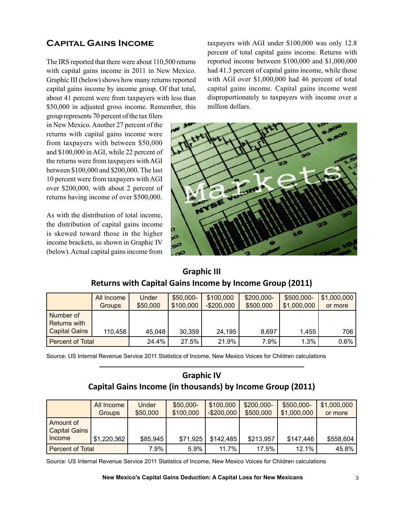# **Capital Gains Income**

The IRS reported that there were about 110,500 returns with capital gains income in 2011 in New Mexico. Graphic III (below) shows how many returns reported capital gains income by income group. Of that total, about 41 percent were from taxpayers with less than \$50,000 in adjusted gross income. Remember, this

group represents 70 percent of the tax filers in New Mexico. Another 27 percent of the returns with capital gains income were from taxpayers with between \$50,000 and \$100,000 in AGI, while 22 percent of the returns were from taxpayers with AGI between \$100,000 and \$200,000. The last 10 percent were from taxpayers with AGI over \$200,000, with about 2 percent of returns having income of over \$500,000.

As with the distribution of total income, the distribution of capital gains income is skewed toward those in the higher income brackets, as shown in Graphic IV (below). Actual capital gains income from

taxpayers with AGI under \$100,000 was only 12.8 percent of total capital gains income. Returns with reported income between \$100,000 and \$1,000,000 had 41.3 percent of capital gains income, while those with AGI over \$1,000,000 had 46 percent of total capital gains income. Capital gains income went disproportionately to taxpayers with income over a million dollars.



# **Graphic III Returns with Capital Gains Income by Income Group (2011)**

|                           | All Income<br><b>Groups</b> | Under<br>\$50,000 | \$50,000-<br>\$100,000 | \$100,000<br>$-$200,000$ | \$200,000-<br>\$500,000 | \$500,000-<br>\$1,000,000 | \$1,000,000<br>or more |
|---------------------------|-----------------------------|-------------------|------------------------|--------------------------|-------------------------|---------------------------|------------------------|
| Number of<br>Returns with |                             |                   |                        |                          |                         |                           |                        |
| <b>Capital Gains</b>      | 110,458                     | 45,048            | 30,359                 | 24,195                   | 8,697                   | 1.455                     | 706                    |
| <b>Percent of Total</b>   |                             | 24.4%             | 27.5%                  | 21.9%                    | 7.9%                    | 1.3%                      | 0.6%                   |

Source: US Internal Revenue Service 2011 Statistics of Income, New Mexico Voices for Children calculations

## **Graphic IV Capital Gains Income (in thousands) by Income Group (2011)**

|                                   | All Income<br><b>Groups</b> | Under<br>\$50,000 | \$50,000-<br>\$100,000 | \$100,000<br>$-$200,000$ | \$200,000-<br>\$500,000 | \$500,000-<br>\$1,000,000 | \$1,000,000<br>or more |
|-----------------------------------|-----------------------------|-------------------|------------------------|--------------------------|-------------------------|---------------------------|------------------------|
| Amount of<br><b>Capital Gains</b> |                             |                   |                        |                          |                         |                           |                        |
| Income                            | \$1,220,362                 | \$85,945          | \$71,925               | \$142,485                | \$213,957               | \$147,446                 | \$558,604              |
| <b>Percent of Total</b>           |                             | 7.9%              | 5.9%                   | 11.7%                    | 17.5%                   | 12.1%                     | 45.8%                  |

Source: US Internal Revenue Service 2011 Statistics of Income, New Mexico Voices for Children calculations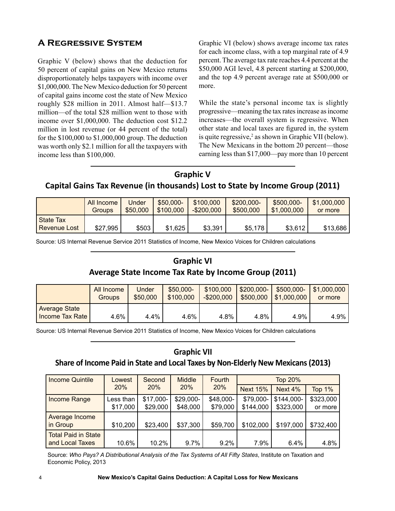# **A Regressive System**

Graphic V (below) shows that the deduction for 50 percent of capital gains on New Mexico returns disproportionately helps taxpayers with income over \$1,000,000. The New Mexico deduction for 50 percent of capital gains income cost the state of New Mexico roughly \$28 million in 2011. Almost half—\$13.7 million—of the total \$28 million went to those with income over \$1,000,000. The deduction cost \$12.2 million in lost revenue (or 44 percent of the total) for the \$100,000 to \$1,000,000 group. The deduction was worth only \$2.1 million for all the taxpayers with income less than \$100,000.

Graphic VI (below) shows average income tax rates for each income class, with a top marginal rate of 4.9 percent. The average tax rate reaches 4.4 percent at the \$50,000 AGI level, 4.8 percent starting at \$200,000, and the top 4.9 percent average rate at \$500,000 or more.

While the state's personal income tax is slightly progressive—meaning the tax rates increase as income increases—the overall system is regressive. When other state and local taxes are figured in, the system is quite regressive,<sup>2</sup> as shown in Graphic VII (below). The New Mexicans in the bottom 20 percent—those earning less than \$17,000—pay more than 10 percent

# **Graphic V Capital Gains Tax Revenue (in thousands) Lost to State by Income Group (2011)**

|                           | All Income | Under    | \$50,000- | \$100,000   | \$200,000- | \$500,000-  | \$1,000,000 |
|---------------------------|------------|----------|-----------|-------------|------------|-------------|-------------|
|                           | Groups     | \$50,000 | \$100,000 | $-$200,000$ | \$500,000  | \$1,000,000 | or more     |
| State Tax<br>Revenue Lost | \$27,995   | \$503    | \$1,625   | \$3,391     | \$5,178    | \$3,612     | \$13,686    |

Source: US Internal Revenue Service 2011 Statistics of Income, New Mexico Voices for Children calculations

# **Graphic VI Average State Income Tax Rate by Income Group (2011)**

|                                           | All Income | Under    | \$50,000- | \$100,000   | \$200,000- | \$500,000-                | \$1,000,000 |
|-------------------------------------------|------------|----------|-----------|-------------|------------|---------------------------|-------------|
|                                           | Groups     | \$50,000 | \$100,000 | $-$200,000$ | \$500,000  | $\frac{1}{2}$ \$1,000,000 | or more     |
| <b>Average State</b><br>Income Tax Rate I | 4.6%       | 4.4%     | 4.6%      | 4.8%        | 4.8%       | 4.9%                      | 4.9%        |

Source: US Internal Revenue Service 2011 Statistics of Income, New Mexico Voices for Children calculations

### **Graphic VII**

### **Share of Income Paid in State and Local Taxes by Non-Elderly New Mexicans (2013)**

| <b>Income Quintile</b>     | Lowest    | Second    | <b>Middle</b> | Fourth    | <b>Top 20%</b>  |            |               |  |
|----------------------------|-----------|-----------|---------------|-----------|-----------------|------------|---------------|--|
|                            | 20%       | 20%       | 20%           | 20%       | <b>Next 15%</b> | Next 4%    | <b>Top 1%</b> |  |
| Income Range               | Less than | \$17,000- | \$29,000-     | \$48,000- | \$79,000-       | \$144,000- | \$323,000     |  |
|                            | \$17,000  | \$29,000  | \$48,000      | \$79,000  | \$144,000       | \$323,000  | or more       |  |
| Average Income             |           |           |               |           |                 |            |               |  |
| in Group                   | \$10,200  | \$23,400  | \$37,300      | \$59,700  | \$102,000       | \$197,000  | \$732,400     |  |
| <b>Total Paid in State</b> |           |           |               |           |                 |            |               |  |
| and Local Taxes            | 10.6%     | 10.2%     | $9.7\%$       | $9.2\%$   | 7.9%            | $6.4\%$    | 4.8%          |  |

Source: *Who Pays? A Distributional Analysis of the Tax Systems of All Fifty States*, Institute on Taxation and Economic Policy, 2013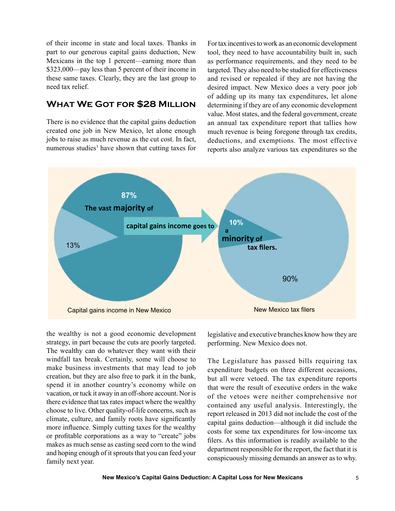of their income in state and local taxes. Thanks in part to our generous capital gains deduction, New Mexicans in the top 1 percent—earning more than \$323,000—pay less than 5 percent of their income in these same taxes. Clearly, they are the last group to need tax relief.

# **What We Got for \$28 Million**

There is no evidence that the capital gains deduction created one job in New Mexico, let alone enough jobs to raise as much revenue as the cut cost. In fact, numerous studies<sup>3</sup> have shown that cutting taxes for For tax incentives to work as an economic development tool, they need to have accountability built in, such as performance requirements, and they need to be targeted. They also need to be studied for effectiveness and revised or repealed if they are not having the desired impact. New Mexico does a very poor job of adding up its many tax expenditures, let alone determining if they are of any economic development value. Most states, and the federal government, create an annual tax expenditure report that tallies how much revenue is being foregone through tax credits, deductions, and exemptions. The most effective reports also analyze various tax expenditures so the



the wealthy is not a good economic development strategy, in part because the cuts are poorly targeted. The wealthy can do whatever they want with their windfall tax break. Certainly, some will choose to make business investments that may lead to job creation, but they are also free to park it in the bank, spend it in another country's economy while on vacation, or tuck it away in an off-shore account. Nor is there evidence that tax rates impact where the wealthy choose to live. Other quality-of-life concerns, such as climate, culture, and family roots have significantly more influence. Simply cutting taxes for the wealthy or profitable corporations as a way to "create" jobs makes as much sense as casting seed corn to the wind and hoping enough of it sprouts that you can feed your family next year.

legislative and executive branches know how they are performing. New Mexico does not.

The Legislature has passed bills requiring tax expenditure budgets on three different occasions, but all were vetoed. The tax expenditure reports that were the result of executive orders in the wake of the vetoes were neither comprehensive nor contained any useful analysis. Interestingly, the report released in 2013 did not include the cost of the capital gains deduction—although it did include the costs for some tax expenditures for low-income tax filers. As this information is readily available to the department responsible for the report, the fact that it is conspicuously missing demands an answer as to why.